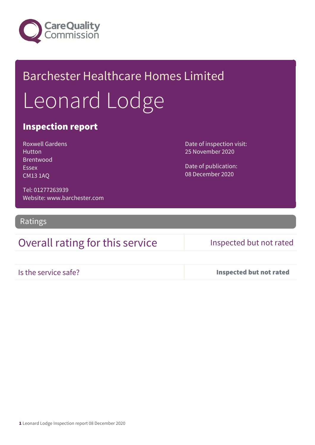

## Barchester Healthcare Homes Limited Leonard Lodge

## Inspection report

Roxwell Gardens Hutton Brentwood Essex CM13 1AQ

Date of inspection visit: 25 November 2020

Date of publication: 08 December 2020

Tel: 01277263939 Website: www.barchester.com

Ratings

## Overall rating for this service Inspected but not rated

Is the service safe? Inspected but not rated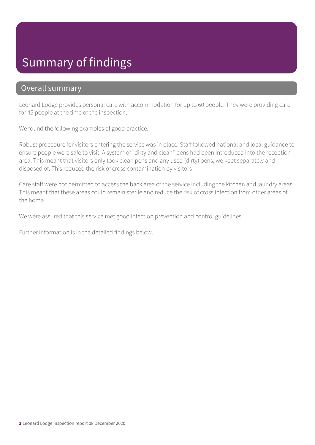## Summary of findings

### Overall summary

Leonard Lodge provides personal care with accommodation for up to 60 people. They were providing care for 45 people at the time of the inspection.

We found the following examples of good practice.

Robust procedure for visitors entering the service was in place. Staff followed national and local guidance to ensure people were safe to visit. A system of "dirty and clean" pens had been introduced into the reception area. This meant that visitors only took clean pens and any used (dirty) pens, we kept separately and disposed of. This reduced the risk of cross contamination by visitors

Care staff were not permitted to access the back area of the service including the kitchen and laundry areas. This meant that these areas could remain sterile and reduce the risk of cross infection from other areas of the home

We were assured that this service met good infection prevention and control guidelines

Further information is in the detailed findings below.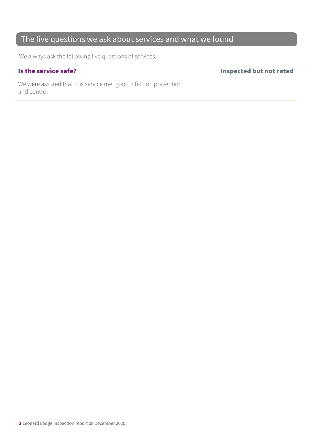## The five questions we ask about services and what we found

We always ask the following five questions of services.

We were assured that this service met good infection prevention and control

Is the service safe? Inspected but not rated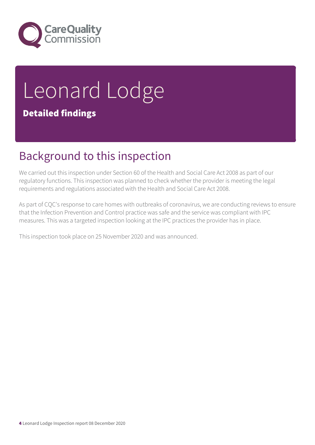

# Leonard Lodge

## Detailed findings

## Background to this inspection

We carried out this inspection under Section 60 of the Health and Social Care Act 2008 as part of our regulatory functions. This inspection was planned to check whether the provider is meeting the legal requirements and regulations associated with the Health and Social Care Act 2008.

As part of CQC's response to care homes with outbreaks of coronavirus, we are conducting reviews to ensure that the Infection Prevention and Control practice was safe and the service was compliant with IPC measures. This was a targeted inspection looking at the IPC practices the provider has in place.

This inspection took place on 25 November 2020 and was announced.